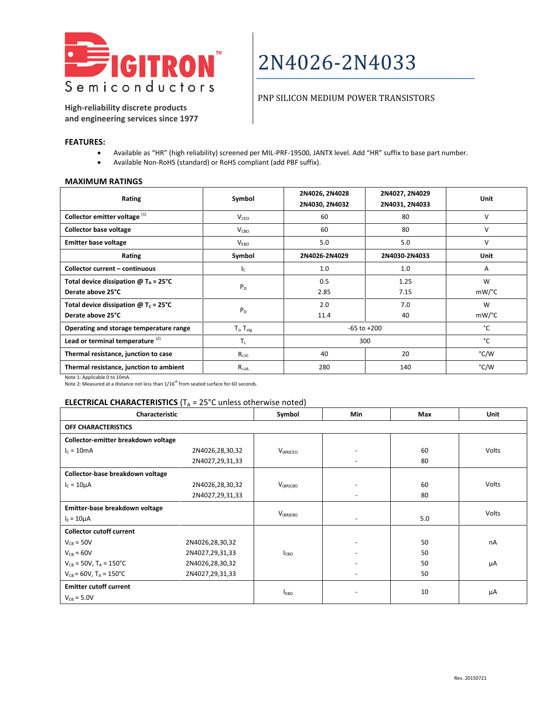

#### PNP SILICON MEDIUM POWER TRANSISTORS

**High-reliability discrete products and engineering services since 1977**

#### **FEATURES:**

- Available as "HR" (high reliability) screened per MIL-PRF-19500, JANTX level. Add "HR" suffix to base part number.
- Available Non-RoHS (standard) or RoHS compliant (add PBF suffix).

#### **MAXIMUM RATINGS**

| Rating                                                                   | Symbol              | 2N4026, 2N4028<br>2N4030, 2N4032 | 2N4027, 2N4029<br>2N4031, 2N4033 | Unit   |
|--------------------------------------------------------------------------|---------------------|----------------------------------|----------------------------------|--------|
| Collector emitter voltage <sup>(1)</sup>                                 | $V_{CFO}$           | 60                               | 80                               | V      |
| <b>Collector base voltage</b>                                            | $V_{CBO}$           | 60                               | 80                               | $\vee$ |
| <b>Emitter base voltage</b>                                              | V <sub>FRO</sub>    | 5.0                              | 5.0                              | $\vee$ |
| Rating                                                                   | Symbol              | 2N4026-2N4029                    | 2N4030-2N4033                    | Unit   |
| <b>Collector current - continuous</b>                                    | $I_{\rm C}$         | 1.0                              | 1.0                              | A      |
| Total device dissipation $@T_A = 25^{\circ}C$                            | $P_D$               | 0.5                              | 1.25                             | W      |
| Derate above 25°C                                                        |                     | 2.85                             | 7.15                             | mW/°C  |
| Total device dissipation $\omega$ T <sub>c</sub> = 25°C                  | $P_D$               | 2.0                              | 7.0                              | W      |
| Derate above 25°C                                                        |                     | 11.4                             | 40                               | mW/°C  |
| Operating and storage temperature range                                  | $T_{J}$ , $T_{stg}$ |                                  | $-65$ to $+200$                  | °C     |
| Lead or terminal temperature <sup>(2)</sup>                              | $T_L$               |                                  | 300                              | °C     |
| Thermal resistance, junction to case                                     | $R_{\Theta$ JC      | 40                               | 20                               | °C/W   |
| Thermal resistance, junction to ambient<br>$M = 4 - 4 - 8 = 12 = 12 = 0$ | $R_{\Theta$ JA      | 280                              | 140                              | °C/W   |

Note 1: Applicable 0 to 10mA.

Note 2: Measured at a distance not less than  $1/16^{th}$  from seated surface for 60 seconds.

### **ELECTRICAL CHARACTERISTICS** ( $T_A$  = 25°C unless otherwise noted)

| Characteristic                         |                 | Symbol           | Min                      | Max | <b>Unit</b>  |
|----------------------------------------|-----------------|------------------|--------------------------|-----|--------------|
| OFF CHARACTERISTICS                    |                 |                  |                          |     |              |
| Collector-emitter breakdown voltage    |                 |                  |                          |     |              |
| $I_c = 10mA$                           | 2N4026,28,30,32 | $V_{(BR)CEO}$    | $\overline{\phantom{0}}$ | 60  | <b>Volts</b> |
|                                        | 2N4027,29,31,33 |                  | $\overline{\phantom{a}}$ | 80  |              |
| Collector-base breakdown voltage       |                 |                  |                          |     |              |
| $I_c = 10 \mu A$                       | 2N4026,28,30,32 | $V_{(BR)CBO}$    | $\overline{\phantom{a}}$ | 60  | <b>Volts</b> |
|                                        | 2N4027,29,31,33 |                  | $\overline{\phantom{a}}$ | 80  |              |
| Emitter-base breakdown voltage         |                 |                  |                          |     | <b>Volts</b> |
| $IE = 10 \mu A$                        |                 | $V_{(BR)EBO}$    | $\overline{\phantom{a}}$ | 5.0 |              |
| <b>Collector cutoff current</b>        |                 |                  |                          |     |              |
| $V_{CB} = 50V$                         | 2N4026,28,30,32 |                  |                          | 50  | nA           |
| $V_{CB} = 60V$                         | 2N4027,29,31,33 | I <sub>CBO</sub> |                          | 50  |              |
| $V_{CB}$ = 50V, T <sub>A</sub> = 150°C | 2N4026,28,30,32 |                  | $\overline{\phantom{m}}$ | 50  | μA           |
| $V_{CB} = 60V$ , $T_A = 150^{\circ}C$  | 2N4027,29,31,33 |                  |                          | 50  |              |
| <b>Emitter cutoff current</b>          |                 |                  |                          | 10  |              |
| $V_{FB} = 5.0V$                        |                 | <b>EBO</b>       |                          |     | μA           |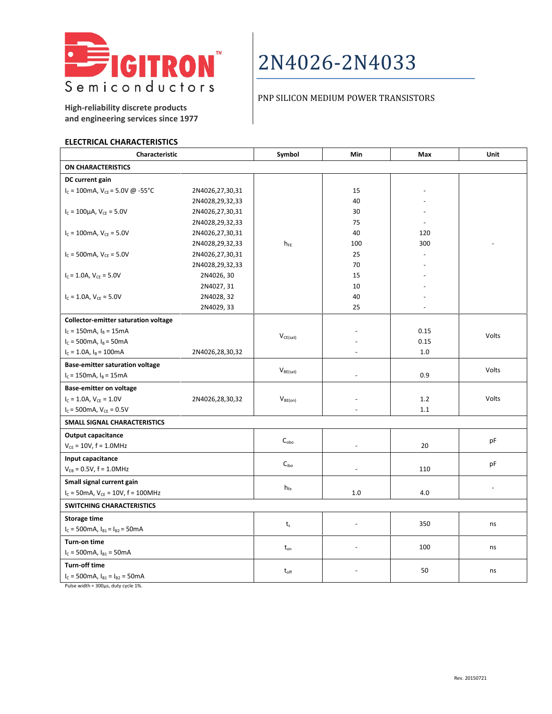

## PNP SILICON MEDIUM POWER TRANSISTORS

**High-reliability discrete products and engineering services since 1977**

#### **ELECTRICAL CHARACTERISTICS**

| Characteristic                                        |                 | Symbol           | Min                      | Max  | Unit           |  |
|-------------------------------------------------------|-----------------|------------------|--------------------------|------|----------------|--|
| <b>ON CHARACTERISTICS</b>                             |                 |                  |                          |      |                |  |
| DC current gain                                       |                 |                  |                          |      |                |  |
| $I_c = 100$ mA, $V_{CE} = 5.0V \omega - 55^{\circ}C$  | 2N4026,27,30,31 |                  | 15                       |      |                |  |
|                                                       | 2N4028,29,32,33 |                  | 40                       |      |                |  |
| $I_c = 100 \mu A$ , $V_{CE} = 5.0 V$                  | 2N4026,27,30,31 |                  | 30                       |      |                |  |
|                                                       | 2N4028,29,32,33 |                  | 75                       |      |                |  |
| $I_c = 100$ mA, $V_{CE} = 5.0V$                       | 2N4026,27,30,31 |                  | 40                       | 120  |                |  |
|                                                       | 2N4028,29,32,33 | $h_{FE}$         | 100                      | 300  |                |  |
| $I_c = 500$ mA, $V_{CF} = 5.0V$                       | 2N4026,27,30,31 |                  | 25                       |      |                |  |
|                                                       | 2N4028,29,32,33 |                  | 70                       |      |                |  |
| $I_c = 1.0A$ , $V_{CE} = 5.0V$                        | 2N4026, 30      |                  | 15                       |      |                |  |
|                                                       | 2N4027, 31      |                  | 10                       |      |                |  |
| $I_c = 1.0A$ , $V_{CE} = 5.0V$                        | 2N4028, 32      |                  | 40                       |      |                |  |
|                                                       | 2N4029, 33      |                  | 25                       |      |                |  |
| <b>Collector-emitter saturation voltage</b>           |                 |                  |                          |      |                |  |
| $I_c = 150$ mA, $I_B = 15$ mA                         |                 |                  |                          | 0.15 | Volts          |  |
| $I_c = 500 \text{mA}$ , $I_B = 50 \text{mA}$          |                 | $V_{CE(sat)}$    |                          | 0.15 |                |  |
| $I_c = 1.0A$ , $I_B = 100mA$                          | 2N4026,28,30,32 |                  |                          | 1.0  |                |  |
| <b>Base-emitter saturation voltage</b>                |                 |                  |                          |      |                |  |
| $I_c = 150$ mA, $I_B = 15$ mA                         |                 | $V_{BE(sat)}$    |                          | 0.9  | Volts          |  |
| <b>Base-emitter on voltage</b>                        |                 |                  |                          |      |                |  |
| $I_C = 1.0A, V_{CE} = 1.0V$                           | 2N4026,28,30,32 | $V_{BE(on)}$     |                          | 1.2  | Volts          |  |
| $I_c = 500$ mA, $V_{CE} = 0.5V$                       |                 |                  |                          | 1.1  |                |  |
| SMALL SIGNAL CHARACTERISTICS                          |                 |                  |                          |      |                |  |
| Output capacitance                                    |                 |                  |                          |      |                |  |
| $V_{CE} = 10V$ , f = 1.0MHz                           |                 | $C_{\rm obo}$    | $\overline{\phantom{a}}$ | 20   | pF             |  |
| Input capacitance                                     |                 |                  |                          |      |                |  |
| $V_{EB} = 0.5V, f = 1.0MHz$                           |                 | C <sub>ibo</sub> |                          | 110  | pF             |  |
| Small signal current gain                             |                 |                  |                          |      |                |  |
| $I_c = 50$ mA, $V_{CE} = 10V$ , $f = 100$ MHz         |                 | $h_{fe}$         | 1.0                      | 4.0  | $\blacksquare$ |  |
| <b>SWITCHING CHARACTERISTICS</b>                      |                 |                  |                          |      |                |  |
| Storage time                                          |                 |                  |                          |      |                |  |
| $I_c = 500 \text{mA}, I_{B1} = I_{B2} = 50 \text{mA}$ |                 | $t_{s}$          | $\overline{a}$           | 350  | ns             |  |
| Turn-on time                                          |                 |                  |                          |      |                |  |
| $I_c = 500mA$ , $I_{B1} = 50mA$                       |                 | $t_{\text{on}}$  | L,                       | 100  | ns             |  |
| Turn-off time                                         |                 |                  |                          |      |                |  |
| $I_c = 500 \text{mA}, I_{B1} = I_{B2} = 50 \text{mA}$ |                 | $t_{\rm off}$    |                          | 50   | ns             |  |

Pulse width = 300µs, duty cycle 1%.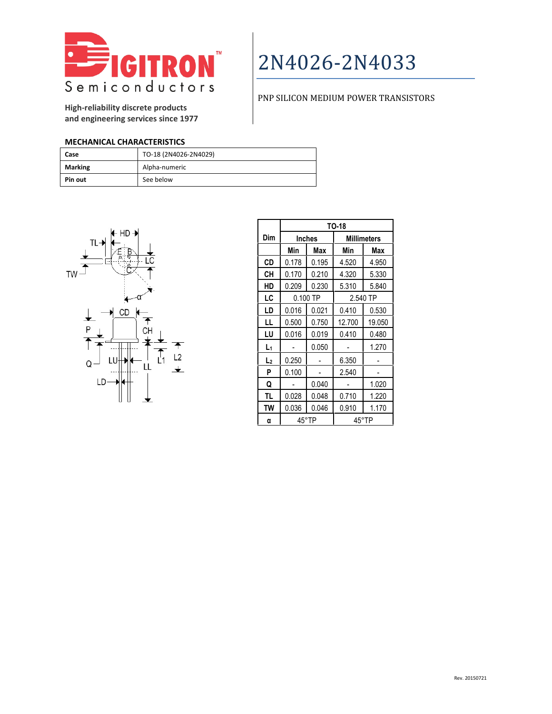

## PNP SILICON MEDIUM POWER TRANSISTORS

**High-reliability discrete products and engineering services since 1977**

### **MECHANICAL CHARACTERISTICS**

| Case           | TO-18 (2N4026-2N4029) |
|----------------|-----------------------|
| <b>Marking</b> | Alpha-numeric         |
| Pin out        | See below             |



|                | TO-18         |       |                    |        |  |
|----------------|---------------|-------|--------------------|--------|--|
| Dim            | <b>Inches</b> |       | <b>Millimeters</b> |        |  |
|                | Min           | Max   | Min                | Max    |  |
| <b>CD</b>      | 0.178         | 0.195 | 4.520              | 4.950  |  |
| CН             | 0.170         | 0.210 | 4.320              | 5.330  |  |
| HD             | 0.209         | 0.230 | 5.310              | 5.840  |  |
| LC             | $0.100$ TP    |       | 2.540 TP           |        |  |
| LD             | 0.016         | 0.021 | 0.410              | 0.530  |  |
| LL             | 0.500         | 0.750 | 12.700             | 19.050 |  |
| LU             | 0.016         | 0.019 | 0.410              | 0.480  |  |
| L١             |               | 0.050 |                    | 1.270  |  |
| L <sub>2</sub> | 0.250         |       | 6.350              |        |  |
| P              | 0.100         |       | 2.540              |        |  |
| Q              |               | 0.040 |                    | 1.020  |  |
| TL             | 0.028         | 0.048 | 0.710              | 1.220  |  |
| TW             | 0.036         | 0.046 | 0.910              | 1.170  |  |
| α              | 45°TP         |       | 45°TP              |        |  |